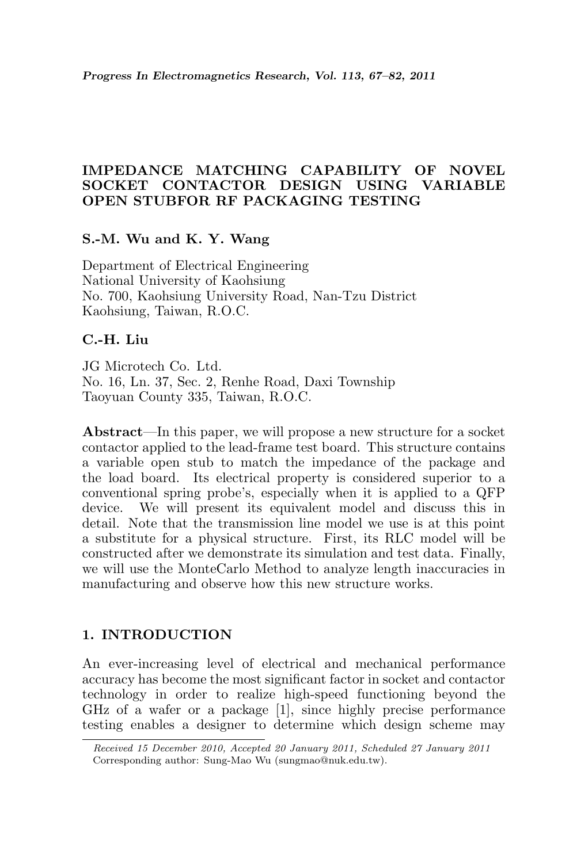## IMPEDANCE MATCHING CAPABILITY OF NOVEL SOCKET CONTACTOR DESIGN USING VARIABLE OPEN STUBFOR RF PACKAGING TESTING

### S.-M. Wu and K. Y. Wang

Department of Electrical Engineering National University of Kaohsiung No. 700, Kaohsiung University Road, Nan-Tzu District Kaohsiung, Taiwan, R.O.C.

## C.-H. Liu

JG Microtech Co. Ltd. No. 16, Ln. 37, Sec. 2, Renhe Road, Daxi Township Taoyuan County 335, Taiwan, R.O.C.

Abstract—In this paper, we will propose a new structure for a socket contactor applied to the lead-frame test board. This structure contains a variable open stub to match the impedance of the package and the load board. Its electrical property is considered superior to a conventional spring probe's, especially when it is applied to a QFP device. We will present its equivalent model and discuss this in detail. Note that the transmission line model we use is at this point a substitute for a physical structure. First, its RLC model will be constructed after we demonstrate its simulation and test data. Finally, we will use the MonteCarlo Method to analyze length inaccuracies in manufacturing and observe how this new structure works.

### 1. INTRODUCTION

An ever-increasing level of electrical and mechanical performance accuracy has become the most significant factor in socket and contactor technology in order to realize high-speed functioning beyond the GHz of a wafer or a package [1], since highly precise performance testing enables a designer to determine which design scheme may

Received 15 December 2010, Accepted 20 January 2011, Scheduled 27 January 2011 Corresponding author: Sung-Mao Wu (sungmao@nuk.edu.tw).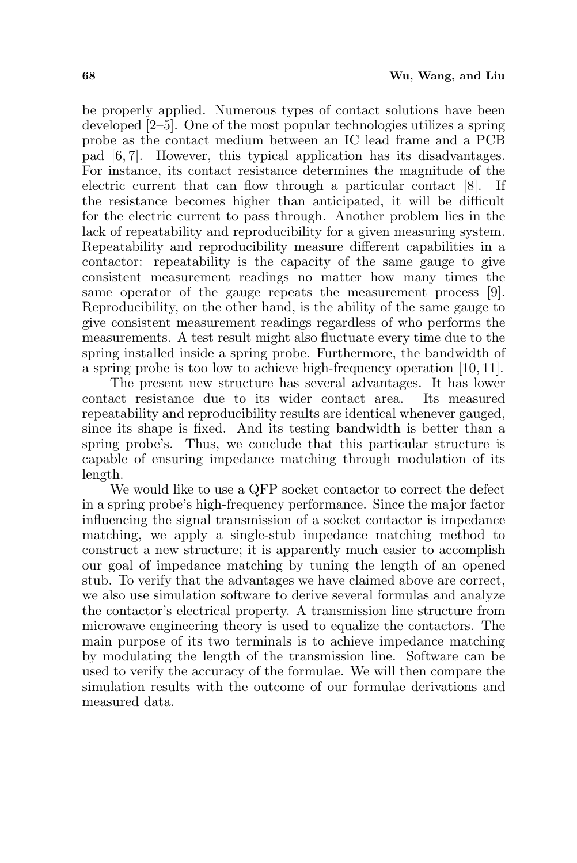be properly applied. Numerous types of contact solutions have been developed [2–5]. One of the most popular technologies utilizes a spring probe as the contact medium between an IC lead frame and a PCB pad [6, 7]. However, this typical application has its disadvantages. For instance, its contact resistance determines the magnitude of the electric current that can flow through a particular contact [8]. If the resistance becomes higher than anticipated, it will be difficult for the electric current to pass through. Another problem lies in the lack of repeatability and reproducibility for a given measuring system. Repeatability and reproducibility measure different capabilities in a contactor: repeatability is the capacity of the same gauge to give consistent measurement readings no matter how many times the same operator of the gauge repeats the measurement process [9]. Reproducibility, on the other hand, is the ability of the same gauge to give consistent measurement readings regardless of who performs the measurements. A test result might also fluctuate every time due to the spring installed inside a spring probe. Furthermore, the bandwidth of a spring probe is too low to achieve high-frequency operation [10, 11].

The present new structure has several advantages. It has lower contact resistance due to its wider contact area. Its measured repeatability and reproducibility results are identical whenever gauged, since its shape is fixed. And its testing bandwidth is better than a spring probe's. Thus, we conclude that this particular structure is capable of ensuring impedance matching through modulation of its length.

We would like to use a QFP socket contactor to correct the defect in a spring probe's high-frequency performance. Since the major factor influencing the signal transmission of a socket contactor is impedance matching, we apply a single-stub impedance matching method to construct a new structure; it is apparently much easier to accomplish our goal of impedance matching by tuning the length of an opened stub. To verify that the advantages we have claimed above are correct, we also use simulation software to derive several formulas and analyze the contactor's electrical property. A transmission line structure from microwave engineering theory is used to equalize the contactors. The main purpose of its two terminals is to achieve impedance matching by modulating the length of the transmission line. Software can be used to verify the accuracy of the formulae. We will then compare the simulation results with the outcome of our formulae derivations and measured data.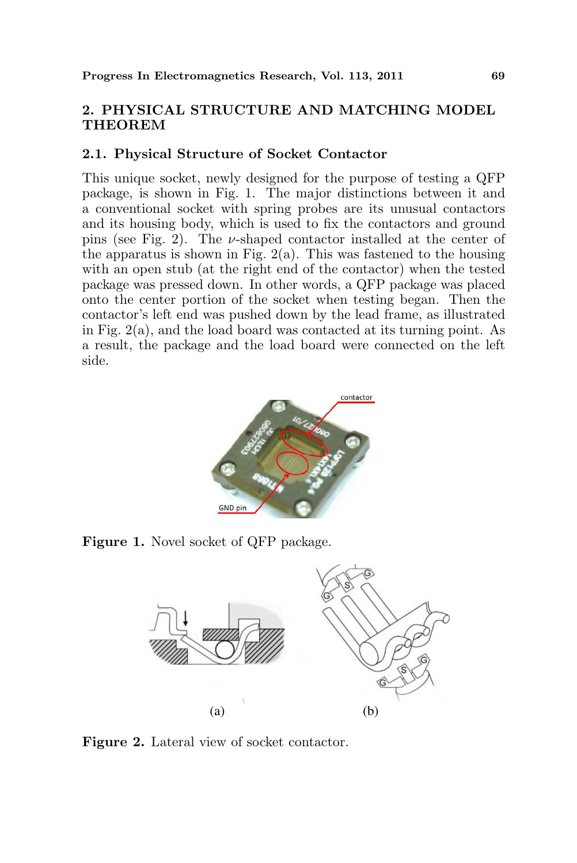# 2. PHYSICAL STRUCTURE AND MATCHING MODEL **THEOREM**

#### 2.1. Physical Structure of Socket Contactor

This unique socket, newly designed for the purpose of testing a QFP package, is shown in Fig. 1. The major distinctions between it and a conventional socket with spring probes are its unusual contactors and its housing body, which is used to fix the contactors and ground pins (see Fig. 2). The  $\nu$ -shaped contactor installed at the center of the apparatus is shown in Fig.  $2(a)$ . This was fastened to the housing with an open stub (at the right end of the contactor) when the tested package was pressed down. In other words, a QFP package was placed onto the center portion of the socket when testing began. Then the contactor's left end was pushed down by the lead frame, as illustrated in Fig. 2(a), and the load board was contacted at its turning point. As a result, the package and the load board were connected on the left side.



Figure 1. Novel socket of QFP package.



Figure 2. Lateral view of socket contactor.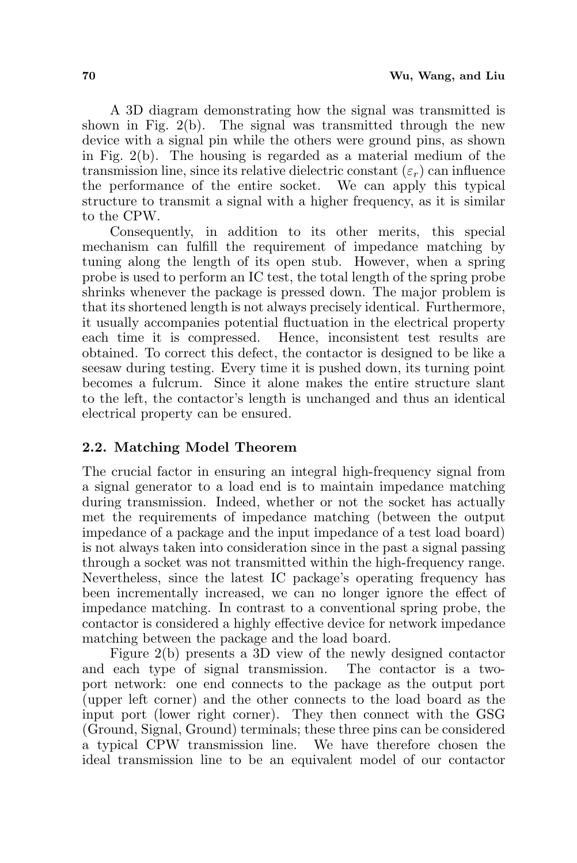A 3D diagram demonstrating how the signal was transmitted is shown in Fig. 2(b). The signal was transmitted through the new device with a signal pin while the others were ground pins, as shown in Fig. 2(b). The housing is regarded as a material medium of the transmission line, since its relative dielectric constant  $(\varepsilon_r)$  can influence the performance of the entire socket. We can apply this typical structure to transmit a signal with a higher frequency, as it is similar to the CPW.

Consequently, in addition to its other merits, this special mechanism can fulfill the requirement of impedance matching by tuning along the length of its open stub. However, when a spring probe is used to perform an IC test, the total length of the spring probe shrinks whenever the package is pressed down. The major problem is that its shortened length is not always precisely identical. Furthermore, it usually accompanies potential fluctuation in the electrical property each time it is compressed. Hence, inconsistent test results are obtained. To correct this defect, the contactor is designed to be like a seesaw during testing. Every time it is pushed down, its turning point becomes a fulcrum. Since it alone makes the entire structure slant to the left, the contactor's length is unchanged and thus an identical electrical property can be ensured.

# 2.2. Matching Model Theorem

The crucial factor in ensuring an integral high-frequency signal from a signal generator to a load end is to maintain impedance matching during transmission. Indeed, whether or not the socket has actually met the requirements of impedance matching (between the output impedance of a package and the input impedance of a test load board) is not always taken into consideration since in the past a signal passing through a socket was not transmitted within the high-frequency range. Nevertheless, since the latest IC package's operating frequency has been incrementally increased, we can no longer ignore the effect of impedance matching. In contrast to a conventional spring probe, the contactor is considered a highly effective device for network impedance matching between the package and the load board.

Figure 2(b) presents a 3D view of the newly designed contactor and each type of signal transmission. The contactor is a twoport network: one end connects to the package as the output port (upper left corner) and the other connects to the load board as the input port (lower right corner). They then connect with the GSG (Ground, Signal, Ground) terminals; these three pins can be considered a typical CPW transmission line. We have therefore chosen the ideal transmission line to be an equivalent model of our contactor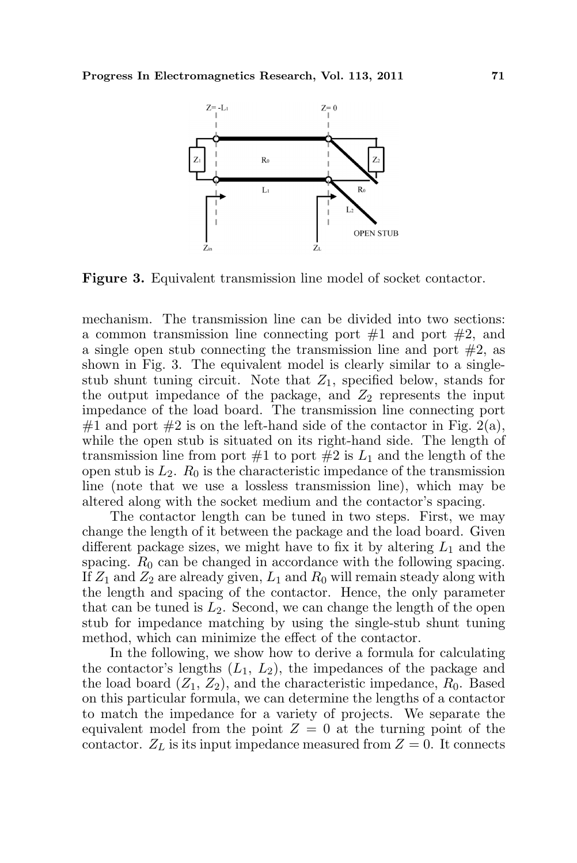

Figure 3. Equivalent transmission line model of socket contactor.

mechanism. The transmission line can be divided into two sections: a common transmission line connecting port  $#1$  and port  $#2$ , and a single open stub connecting the transmission line and port  $#2$ , as shown in Fig. 3. The equivalent model is clearly similar to a singlestub shunt tuning circuit. Note that  $Z_1$ , specified below, stands for the output impedance of the package, and  $Z_2$  represents the input impedance of the load board. The transmission line connecting port #1 and port #2 is on the left-hand side of the contactor in Fig. 2(a), while the open stub is situated on its right-hand side. The length of transmission line from port  $#1$  to port  $#2$  is  $L_1$  and the length of the open stub is  $L_2$ .  $R_0$  is the characteristic impedance of the transmission line (note that we use a lossless transmission line), which may be altered along with the socket medium and the contactor's spacing.

The contactor length can be tuned in two steps. First, we may change the length of it between the package and the load board. Given different package sizes, we might have to fix it by altering  $L_1$  and the spacing.  $R_0$  can be changed in accordance with the following spacing. If  $Z_1$  and  $Z_2$  are already given,  $L_1$  and  $R_0$  will remain steady along with the length and spacing of the contactor. Hence, the only parameter that can be tuned is  $L_2$ . Second, we can change the length of the open stub for impedance matching by using the single-stub shunt tuning method, which can minimize the effect of the contactor.

In the following, we show how to derive a formula for calculating the contactor's lengths  $(L_1, L_2)$ , the impedances of the package and the load board  $(Z_1, Z_2)$ , and the characteristic impedance,  $R_0$ . Based on this particular formula, we can determine the lengths of a contactor to match the impedance for a variety of projects. We separate the equivalent model from the point  $Z = 0$  at the turning point of the contactor.  $Z_L$  is its input impedance measured from  $Z = 0$ . It connects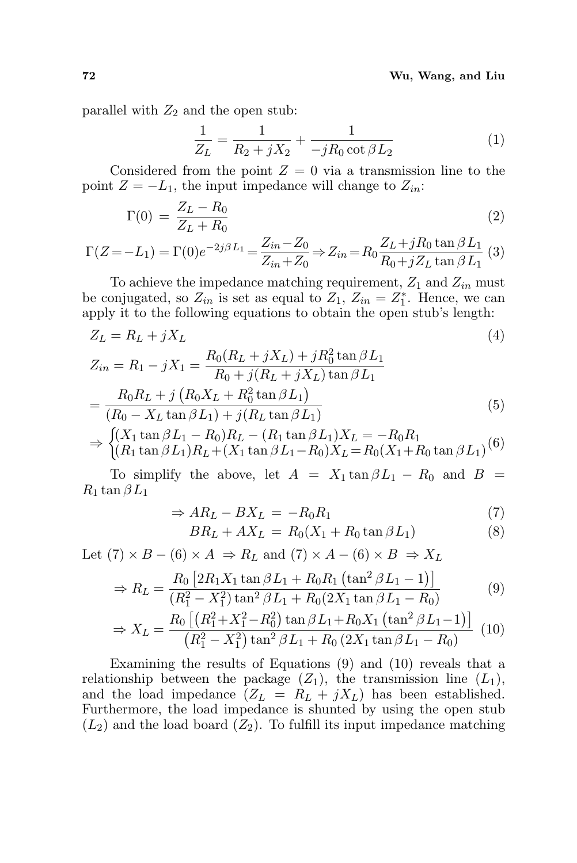parallel with  $Z_2$  and the open stub:

$$
\frac{1}{Z_L} = \frac{1}{R_2 + jX_2} + \frac{1}{-jR_0 \cot \beta L_2}
$$
 (1)

Considered from the point  $Z = 0$  via a transmission line to the point  $Z = -L_1$ , the input impedance will change to  $Z_{in}$ :

$$
\Gamma(0) = \frac{Z_L - R_0}{Z_L + R_0} \tag{2}
$$

$$
\Gamma(Z = -L_1) = \Gamma(0)e^{-2j\beta L_1} = \frac{Z_{in} - Z_0}{Z_{in} + Z_0} \Rightarrow Z_{in} = R_0 \frac{Z_L + jR_0 \tan \beta L_1}{R_0 + jZ_L \tan \beta L_1}
$$
(3)

To achieve the impedance matching requirement,  $Z_1$  and  $Z_{in}$  must be conjugated, so  $Z_{in}$  is set as equal to  $Z_1$ ,  $Z_{in} = Z_1^*$ . Hence, we can apply it to the following equations to obtain the open stub's length:

$$
Z_L = R_L + jX_L \tag{4}
$$

$$
Z_{in} = R_1 - jX_1 = \frac{R_0(R_L + jX_L) + jR_0^2 \tan \beta L_1}{R_0 + j(R_L + jX_L) \tan \beta L_1}
$$
  
= 
$$
\frac{R_0R_L + j(R_0X_L + R_0^2 \tan \beta L_1)}{(R_0 - X_L \tan \beta L_1) + j(R_L \tan \beta L_1)}
$$
(5)  

$$
\Rightarrow \begin{cases} (X_1 \tan \beta L_1 - R_0)R_L - (R_1 \tan \beta L_1)X_L = -R_0R_1\\ (R_1 \tan \beta L_1)R_L + (X_1 \tan \beta L_1 - R_0)X_L = R_0(X_1 + R_0 \tan \beta L_1)^{(6)} \end{cases}
$$

To simplify the above, let  $A = X_1 \tan \beta L_1 - R_0$  and  $B =$  $R_1 \tan \beta L_1$ 

$$
\Rightarrow AR_L - BX_L = -R_0R_1 \tag{7}
$$

$$
BR_L + AX_L = R_0(X_1 + R_0 \tan \beta L_1) \tag{8}
$$

Let  $(7) \times B - (6) \times A \Rightarrow R_L$  and  $(7) \times A - (6) \times B \Rightarrow X_L$ 

$$
\Rightarrow R_L = \frac{R_0 \left[ 2R_1 X_1 \tan \beta L_1 + R_0 R_1 \left( \tan^2 \beta L_1 - 1 \right) \right]}{(R_1^2 - X_1^2) \tan^2 \beta L_1 + R_0 (2X_1 \tan \beta L_1 - R_0)}
$$
(9)

$$
\Rightarrow X_L = \frac{R_0 \left[ \left( R_1^2 + X_1^2 - R_0^2 \right) \tan \beta L_1 + R_0 X_1 \left( \tan^2 \beta L_1 - 1 \right) \right]}{\left( R_1^2 - X_1^2 \right) \tan^2 \beta L_1 + R_0 \left( 2X_1 \tan \beta L_1 - R_0 \right)} \tag{10}
$$

Examining the results of Equations (9) and (10) reveals that a relationship between the package  $(Z_1)$ , the transmission line  $(L_1)$ , and the load impedance  $(Z_L = R_L + jX_L)$  has been established. Furthermore, the load impedance is shunted by using the open stub  $(L_2)$  and the load board  $(Z_2)$ . To fulfill its input impedance matching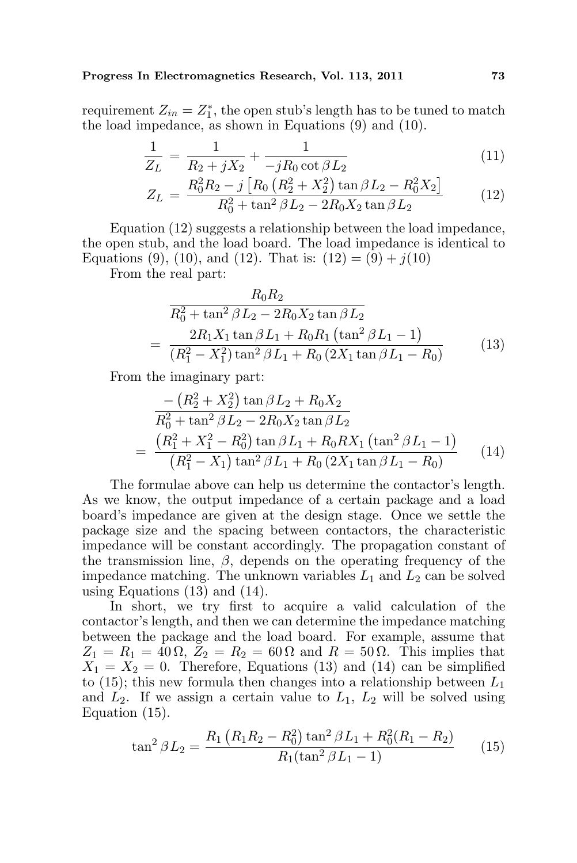#### Progress In Electromagnetics Research, Vol. 113, 2011 73

requirement  $Z_{in} = Z_1^*$ , the open stub's length has to be tuned to match the load impedance, as shown in Equations (9) and (10).

$$
\frac{1}{Z_L} = \frac{1}{R_2 + jX_2} + \frac{1}{-jR_0 \cot \beta L_2}
$$
(11)

$$
Z_L = \frac{R_0^2 R_2 - j \left[ R_0 \left( R_2^2 + X_2^2 \right) \tan \beta L_2 - R_0^2 X_2 \right]}{R_0^2 + \tan^2 \beta L_2 - 2R_0 X_2 \tan \beta L_2} \tag{12}
$$

Equation (12) suggests a relationship between the load impedance, the open stub, and the load board. The load impedance is identical to Equations (9), (10), and (12). That is:  $(12) = (9) + j(10)$ 

From the real part:

$$
R_0 R_2
$$
  
\n
$$
\overline{R_0^2 + \tan^2 \beta L_2 - 2R_0 X_2 \tan \beta L_2}
$$
  
\n
$$
= \frac{2R_1 X_1 \tan \beta L_1 + R_0 R_1 (\tan^2 \beta L_1 - 1)}{(R_1^2 - X_1^2) \tan^2 \beta L_1 + R_0 (2X_1 \tan \beta L_1 - R_0)}
$$
(13)

From the imaginary part:

$$
-\left(R_2^2 + X_2^2\right) \tan \beta L_2 + R_0 X_2
$$
  
\n
$$
\overline{R_0^2 + \tan^2 \beta L_2 - 2R_0 X_2 \tan \beta L_2}
$$
  
\n
$$
= \frac{\left(R_1^2 + X_1^2 - R_0^2\right) \tan \beta L_1 + R_0 R X_1 \left(\tan^2 \beta L_1 - 1\right)}{\left(R_1^2 - X_1\right) \tan^2 \beta L_1 + R_0 \left(2X_1 \tan \beta L_1 - R_0\right)}
$$
(14)

The formulae above can help us determine the contactor's length. As we know, the output impedance of a certain package and a load board's impedance are given at the design stage. Once we settle the package size and the spacing between contactors, the characteristic impedance will be constant accordingly. The propagation constant of the transmission line,  $\beta$ , depends on the operating frequency of the impedance matching. The unknown variables  $L_1$  and  $L_2$  can be solved using Equations  $(13)$  and  $(14)$ .

In short, we try first to acquire a valid calculation of the contactor's length, and then we can determine the impedance matching between the package and the load board. For example, assume that  $Z_1 = R_1 = 40 \Omega$ ,  $Z_2 = R_2 = 60 \Omega$  and  $R = 50 \Omega$ . This implies that  $X_1 = X_2 = 0$ . Therefore, Equations (13) and (14) can be simplified to (15); this new formula then changes into a relationship between  $L_1$ and  $L_2$ . If we assign a certain value to  $L_1$ ,  $L_2$  will be solved using Equation (15).

$$
\tan^2 \beta L_2 = \frac{R_1 (R_1 R_2 - R_0^2) \tan^2 \beta L_1 + R_0^2 (R_1 - R_2)}{R_1 (\tan^2 \beta L_1 - 1)}
$$
(15)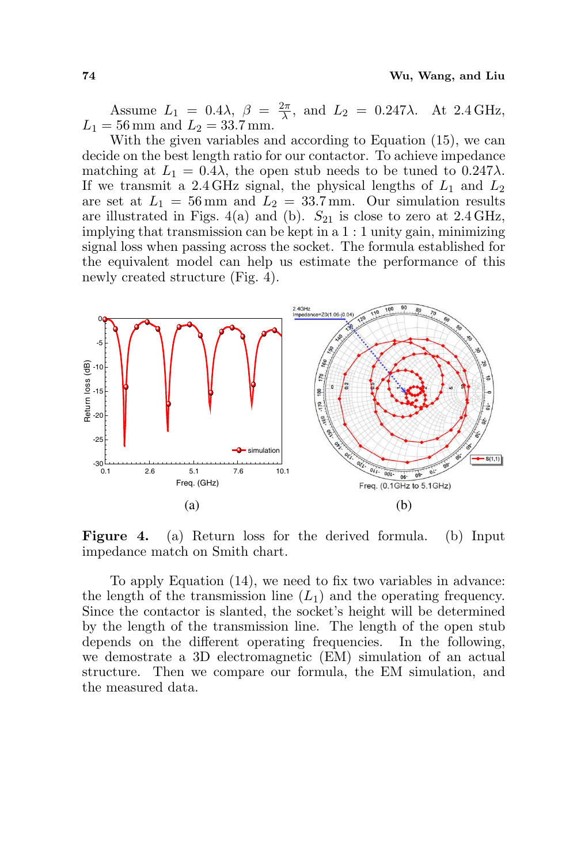Assume  $L_1 = 0.4\lambda, \ \beta = \frac{2\pi}{\lambda}$  $\frac{2\pi}{\lambda}$ , and  $L_2 = 0.247\lambda$ . At 2.4 GHz,  $L_1 = 56$  mm and  $L_2 = 33.7$  mm.

With the given variables and according to Equation (15), we can decide on the best length ratio for our contactor. To achieve impedance matching at  $L_1 = 0.4\lambda$ , the open stub needs to be tuned to  $0.247\lambda$ . If we transmit a 2.4 GHz signal, the physical lengths of  $L_1$  and  $L_2$ are set at  $L_1 = 56$  mm and  $L_2 = 33.7$  mm. Our simulation results are illustrated in Figs. 4(a) and (b).  $S_{21}$  is close to zero at 2.4 GHz, implying that transmission can be kept in a 1 : 1 unity gain, minimizing signal loss when passing across the socket. The formula established for the equivalent model can help us estimate the performance of this newly created structure (Fig. 4).



Figure 4. (a) Return loss for the derived formula. (b) Input impedance match on Smith chart.

To apply Equation (14), we need to fix two variables in advance: the length of the transmission line  $(L_1)$  and the operating frequency. Since the contactor is slanted, the socket's height will be determined by the length of the transmission line. The length of the open stub depends on the different operating frequencies. In the following, we demostrate a 3D electromagnetic (EM) simulation of an actual structure. Then we compare our formula, the EM simulation, and the measured data.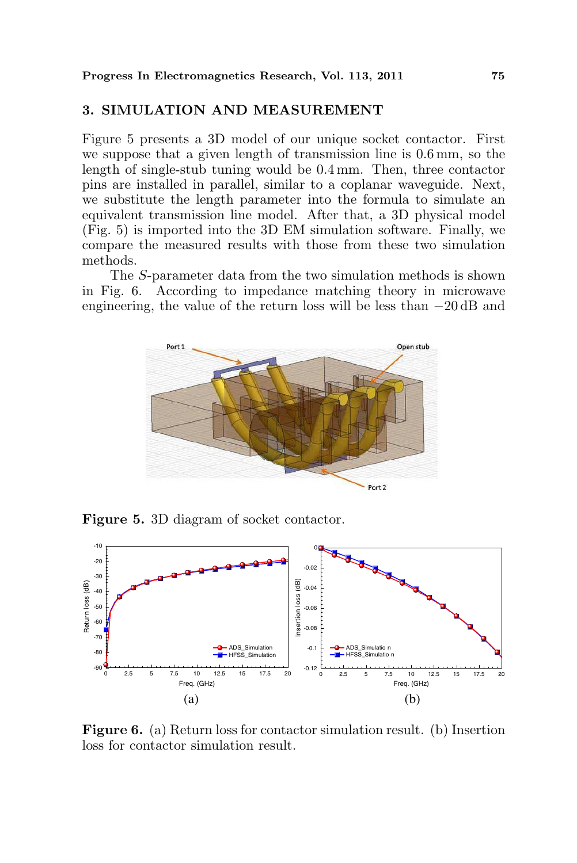### 3. SIMULATION AND MEASUREMENT

Figure 5 presents a 3D model of our unique socket contactor. First we suppose that a given length of transmission line is 0.6 mm, so the length of single-stub tuning would be 0.4 mm. Then, three contactor pins are installed in parallel, similar to a coplanar waveguide. Next, we substitute the length parameter into the formula to simulate an equivalent transmission line model. After that, a 3D physical model (Fig. 5) is imported into the 3D EM simulation software. Finally, we compare the measured results with those from these two simulation methods.

The S-parameter data from the two simulation methods is shown in Fig. 6. According to impedance matching theory in microwave engineering, the value of the return loss will be less than −20 dB and



Figure 5. 3D diagram of socket contactor.



Figure 6. (a) Return loss for contactor simulation result. (b) Insertion loss for contactor simulation result.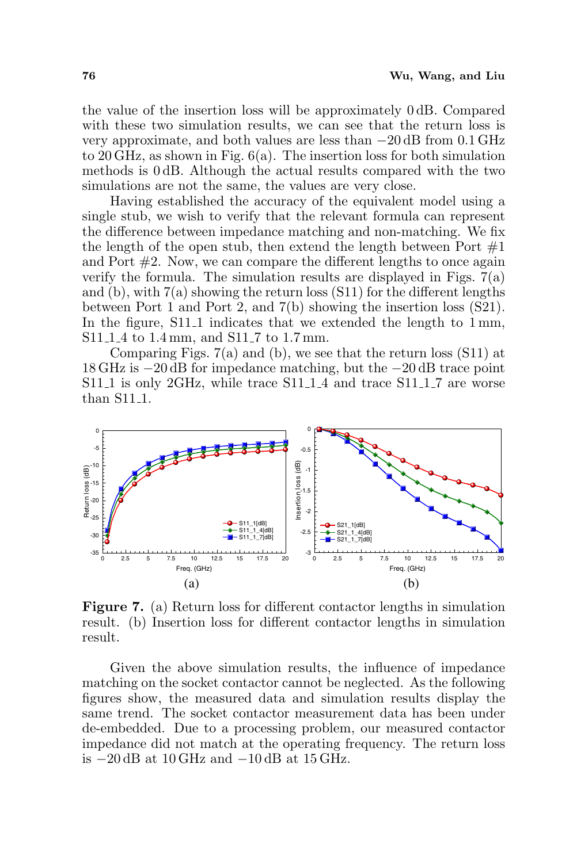the value of the insertion loss will be approximately 0 dB. Compared with these two simulation results, we can see that the return loss is very approximate, and both values are less than −20 dB from 0.1 GHz to 20 GHz, as shown in Fig. 6(a). The insertion loss for both simulation methods is 0 dB. Although the actual results compared with the two simulations are not the same, the values are very close.

Having established the accuracy of the equivalent model using a single stub, we wish to verify that the relevant formula can represent the difference between impedance matching and non-matching. We fix the length of the open stub, then extend the length between Port  $#1$ and Port #2. Now, we can compare the different lengths to once again verify the formula. The simulation results are displayed in Figs.  $7(a)$ and (b), with  $7(a)$  showing the return loss  $(S11)$  for the different lengths between Port 1 and Port 2, and 7(b) showing the insertion loss (S21). In the figure, S11<sub>-1</sub> indicates that we extended the length to 1 mm, S11<sub>-1</sub><sub>-4</sub> to 1<sup>4</sup> mm, and S11<sup>-7</sup> to 1.7 mm.

Comparing Figs. 7(a) and (b), we see that the return loss (S11) at 18 GHz is −20 dB for impedance matching, but the −20 dB trace point  $S11_1$  is only 2GHz, while trace  $S11_11_4$  and trace  $S11_11_7$  are worse than S11<sub>-1</sub>.



Figure 7. (a) Return loss for different contactor lengths in simulation result. (b) Insertion loss for different contactor lengths in simulation result.

Given the above simulation results, the influence of impedance matching on the socket contactor cannot be neglected. As the following figures show, the measured data and simulation results display the same trend. The socket contactor measurement data has been under de-embedded. Due to a processing problem, our measured contactor impedance did not match at the operating frequency. The return loss is −20 dB at 10 GHz and −10 dB at 15 GHz.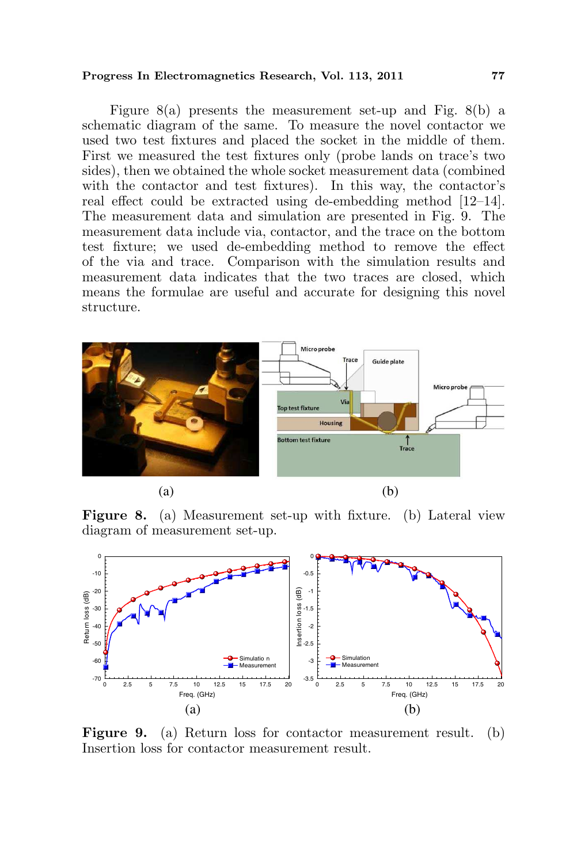#### Progress In Electromagnetics Research, Vol. 113, 2011 77

Figure 8(a) presents the measurement set-up and Fig. 8(b) a schematic diagram of the same. To measure the novel contactor we used two test fixtures and placed the socket in the middle of them. First we measured the test fixtures only (probe lands on trace's two sides), then we obtained the whole socket measurement data (combined with the contactor and test fixtures). In this way, the contactor's real effect could be extracted using de-embedding method [12–14]. The measurement data and simulation are presented in Fig. 9. The measurement data include via, contactor, and the trace on the bottom test fixture; we used de-embedding method to remove the effect of the via and trace. Comparison with the simulation results and measurement data indicates that the two traces are closed, which means the formulae are useful and accurate for designing this novel structure.



Figure 8. (a) Measurement set-up with fixture. (b) Lateral view diagram of measurement set-up.



Figure 9. (a) Return loss for contactor measurement result. (b) Insertion loss for contactor measurement result.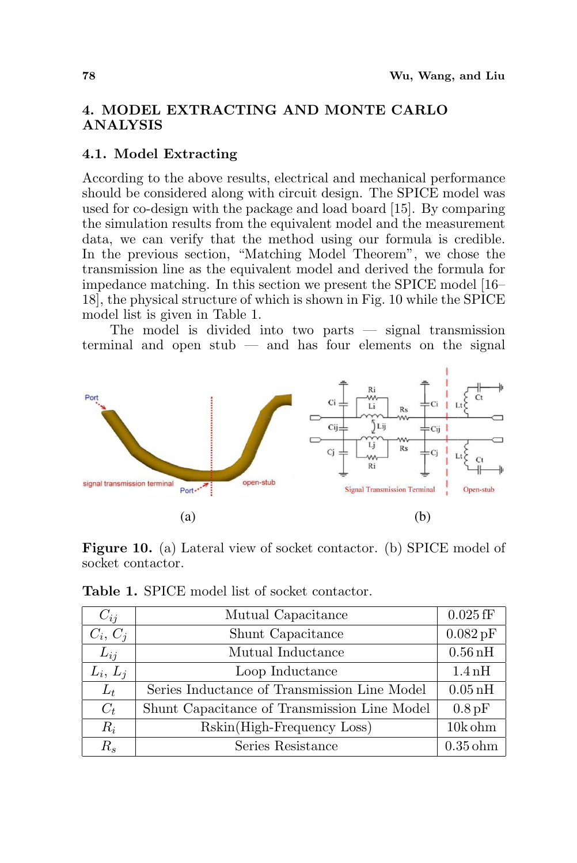# 4. MODEL EXTRACTING AND MONTE CARLO ANALYSIS

# 4.1. Model Extracting

According to the above results, electrical and mechanical performance should be considered along with circuit design. The SPICE model was used for co-design with the package and load board [15]. By comparing the simulation results from the equivalent model and the measurement data, we can verify that the method using our formula is credible. In the previous section, "Matching Model Theorem", we chose the transmission line as the equivalent model and derived the formula for impedance matching. In this section we present the SPICE model [16– 18], the physical structure of which is shown in Fig. 10 while the SPICE model list is given in Table 1.

The model is divided into two parts — signal transmission terminal and open stub — and has four elements on the signal



Figure 10. (a) Lateral view of socket contactor. (b) SPICE model of socket contactor.

| $C_{ij}$   | Mutual Capacitance                           | $0.025$ fF           |
|------------|----------------------------------------------|----------------------|
| $C_i, C_j$ | Shunt Capacitance                            | $0.082\,\mathrm{pF}$ |
| $L_{ij}$   | Mutual Inductance                            | $0.56$ nH            |
| $L_i, L_i$ | Loop Inductance                              | $1.4\,\mathrm{nH}$   |
| $L_t$      | Series Inductance of Transmission Line Model | $0.05\,\mathrm{nH}$  |
| $C_t$      | Shunt Capacitance of Transmission Line Model | $0.8$ pF             |
| $R_i$      | Rskin(High-Frequency Loss)                   | $10k$ ohm            |
| $R_{s}$    | Series Resistance                            | $0.35$ ohm           |

Table 1. SPICE model list of socket contactor.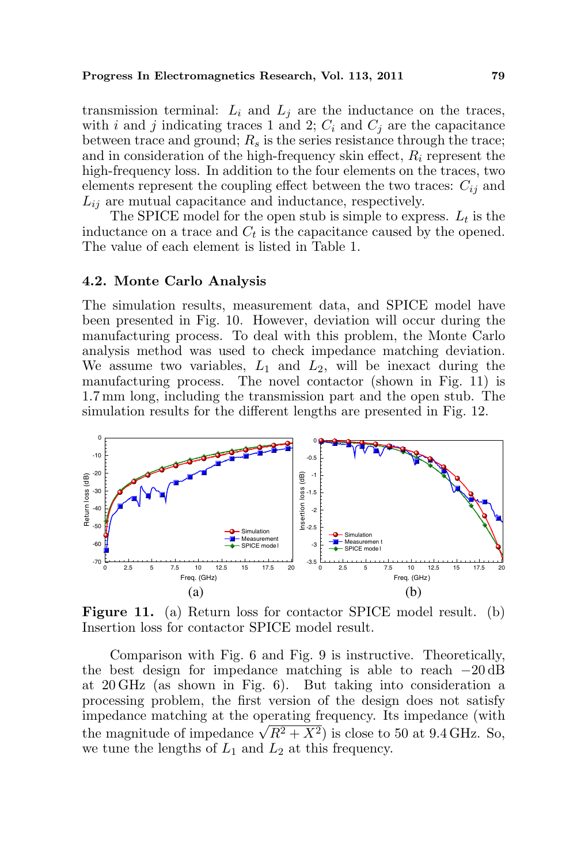#### Progress In Electromagnetics Research, Vol. 113, 2011 79

transmission terminal:  $L_i$  and  $L_j$  are the inductance on the traces, with i and j indicating traces 1 and 2;  $C_i$  and  $C_j$  are the capacitance between trace and ground;  $R_s$  is the series resistance through the trace; and in consideration of the high-frequency skin effect,  $R_i$  represent the high-frequency loss. In addition to the four elements on the traces, two elements represent the coupling effect between the two traces:  $C_{ij}$  and  $L_{ii}$  are mutual capacitance and inductance, respectively.

The SPICE model for the open stub is simple to express.  $L_t$  is the inductance on a trace and  $C_t$  is the capacitance caused by the opened. The value of each element is listed in Table 1.

### 4.2. Monte Carlo Analysis

The simulation results, measurement data, and SPICE model have been presented in Fig. 10. However, deviation will occur during the manufacturing process. To deal with this problem, the Monte Carlo analysis method was used to check impedance matching deviation. We assume two variables,  $L_1$  and  $L_2$ , will be inexact during the manufacturing process. The novel contactor (shown in Fig. 11) is 1.7 mm long, including the transmission part and the open stub. The simulation results for the different lengths are presented in Fig. 12.



Figure 11. (a) Return loss for contactor SPICE model result. (b) Insertion loss for contactor SPICE model result.

Comparison with Fig. 6 and Fig. 9 is instructive. Theoretically, the best design for impedance matching is able to reach −20 dB at 20 GHz (as shown in Fig. 6). But taking into consideration a processing problem, the first version of the design does not satisfy impedance matching at the operating frequency. Its impedance (with mipedance matching at the operating requency. Its impedance (with<br>the magnitude of impedance  $\sqrt{R^2 + X^2}$ ) is close to 50 at 9.4 GHz. So, we tune the lengths of  $L_1$  and  $L_2$  at this frequency.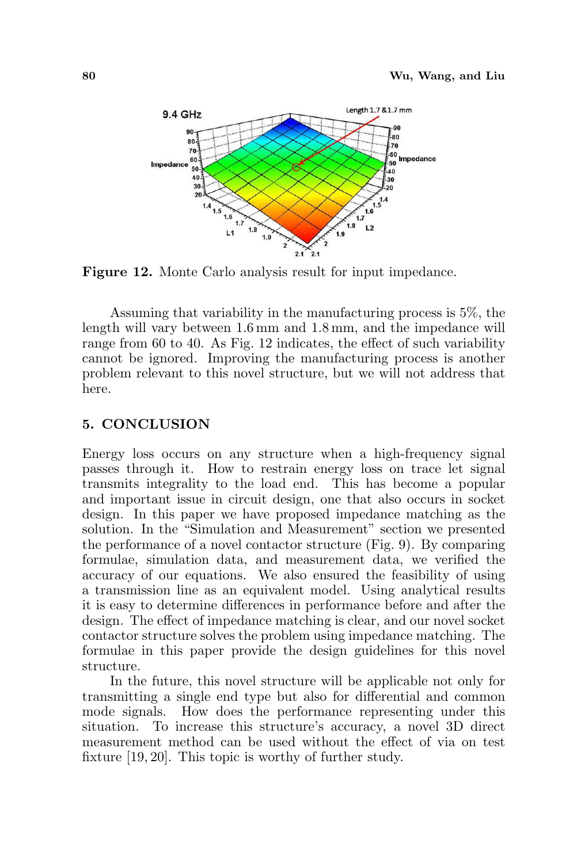

Figure 12. Monte Carlo analysis result for input impedance.

Assuming that variability in the manufacturing process is 5%, the length will vary between 1.6 mm and 1.8 mm, and the impedance will range from 60 to 40. As Fig. 12 indicates, the effect of such variability cannot be ignored. Improving the manufacturing process is another problem relevant to this novel structure, but we will not address that here.

#### 5. CONCLUSION

Energy loss occurs on any structure when a high-frequency signal passes through it. How to restrain energy loss on trace let signal transmits integrality to the load end. This has become a popular and important issue in circuit design, one that also occurs in socket design. In this paper we have proposed impedance matching as the solution. In the "Simulation and Measurement" section we presented the performance of a novel contactor structure (Fig. 9). By comparing formulae, simulation data, and measurement data, we verified the accuracy of our equations. We also ensured the feasibility of using a transmission line as an equivalent model. Using analytical results it is easy to determine differences in performance before and after the design. The effect of impedance matching is clear, and our novel socket contactor structure solves the problem using impedance matching. The formulae in this paper provide the design guidelines for this novel structure.

In the future, this novel structure will be applicable not only for transmitting a single end type but also for differential and common mode signals. How does the performance representing under this situation. To increase this structure's accuracy, a novel 3D direct measurement method can be used without the effect of via on test fixture [19, 20]. This topic is worthy of further study.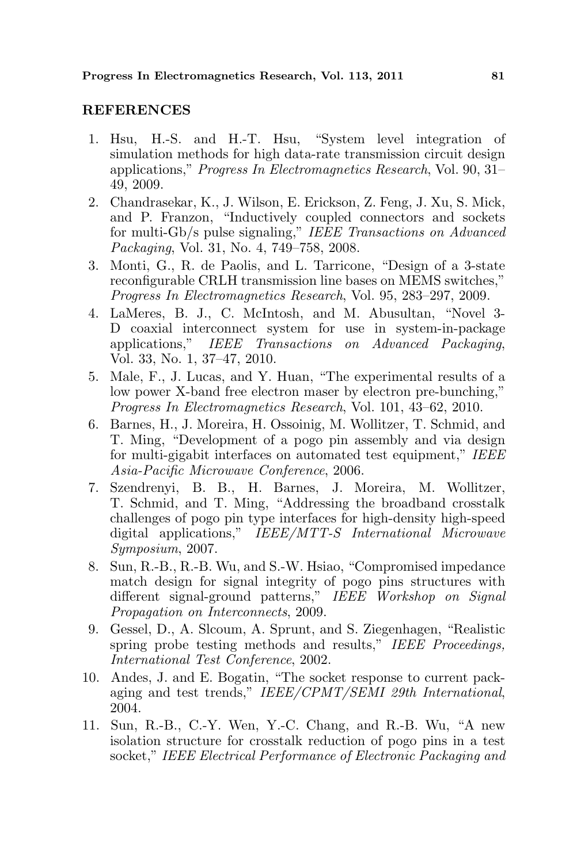#### REFERENCES

- 1. Hsu, H.-S. and H.-T. Hsu, "System level integration of simulation methods for high data-rate transmission circuit design applications," Progress In Electromagnetics Research, Vol. 90, 31– 49, 2009.
- 2. Chandrasekar, K., J. Wilson, E. Erickson, Z. Feng, J. Xu, S. Mick, and P. Franzon, "Inductively coupled connectors and sockets for multi-Gb/s pulse signaling," IEEE Transactions on Advanced Packaging, Vol. 31, No. 4, 749–758, 2008.
- 3. Monti, G., R. de Paolis, and L. Tarricone, "Design of a 3-state reconfigurable CRLH transmission line bases on MEMS switches," Progress In Electromagnetics Research, Vol. 95, 283–297, 2009.
- 4. LaMeres, B. J., C. McIntosh, and M. Abusultan, "Novel 3- D coaxial interconnect system for use in system-in-package applications," IEEE Transactions on Advanced Packaging, Vol. 33, No. 1, 37–47, 2010.
- 5. Male, F., J. Lucas, and Y. Huan, "The experimental results of a low power X-band free electron maser by electron pre-bunching," Progress In Electromagnetics Research, Vol. 101, 43–62, 2010.
- 6. Barnes, H., J. Moreira, H. Ossoinig, M. Wollitzer, T. Schmid, and T. Ming, "Development of a pogo pin assembly and via design for multi-gigabit interfaces on automated test equipment," IEEE Asia-Pacific Microwave Conference, 2006.
- 7. Szendrenyi, B. B., H. Barnes, J. Moreira, M. Wollitzer, T. Schmid, and T. Ming, "Addressing the broadband crosstalk challenges of pogo pin type interfaces for high-density high-speed digital applications," IEEE/MTT-S International Microwave Symposium, 2007.
- 8. Sun, R.-B., R.-B. Wu, and S.-W. Hsiao, "Compromised impedance match design for signal integrity of pogo pins structures with different signal-ground patterns," IEEE Workshop on Signal Propagation on Interconnects, 2009.
- 9. Gessel, D., A. Slcoum, A. Sprunt, and S. Ziegenhagen, "Realistic spring probe testing methods and results," IEEE Proceedings, International Test Conference, 2002.
- 10. Andes, J. and E. Bogatin, "The socket response to current packaging and test trends," IEEE/CPMT/SEMI 29th International, 2004.
- 11. Sun, R.-B., C.-Y. Wen, Y.-C. Chang, and R.-B. Wu, "A new isolation structure for crosstalk reduction of pogo pins in a test socket," IEEE Electrical Performance of Electronic Packaging and